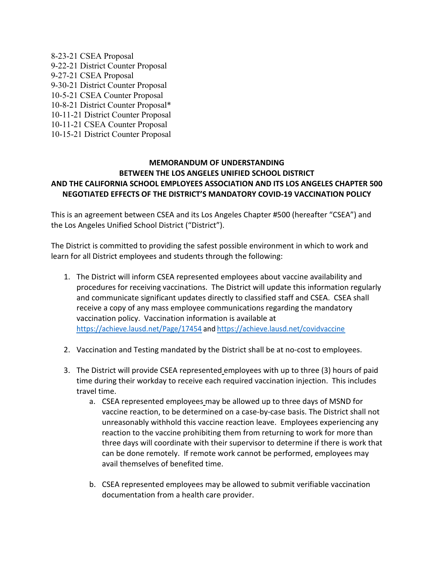8-23-21 CSEA Proposal 9-22-21 District Counter Proposal 9-27-21 CSEA Proposal 9-30-21 District Counter Proposal 10-5-21 CSEA Counter Proposal 10-8-21 District Counter Proposal\* 10-11-21 District Counter Proposal 10-11-21 CSEA Counter Proposal 10-15-21 District Counter Proposal

## MEMORANDUM OF UNDERSTANDING BETWEEN THE LOS ANGELES UNIFIED SCHOOL DISTRICT AND THE CALIFORNIA SCHOOL EMPLOYEES ASSOCIATION AND ITS LOS ANGELES CHAPTER 500 NEGOTIATED EFFECTS OF THE DISTRICT'S MANDATORY COVID-19 VACCINATION POLICY 9-30-21 District Counter Proposal<br>
10-8-21 CSEA Counter Proposal<br>
10-8-21 CSEA Counter Proposal<br>
10-1-21 District Counter Proposal<br>
10-1-21 CSEA Counter Proposal<br> **MEMORANDUM OF UNDERSTANDING**<br> **EETWEEN COULEMPLOYEES ASSO**

This is an agreement between CSEA and its Los Angeles Chapter #500 (hereafter "CSEA") and the Los Angeles Unified School District ("District").

The District is committed to providing the safest possible environment in which to work and

- 3-21 District Counter Proposal\*<br>
11-21 OSE:A Counter Proposal<br>
11-21 CSEA Counter Proposal<br> **MEMORANDUM OF UNDERSTANDING**<br> **BETWEEN THE LOS ANGELES UNIFIED SCHOOL DISTRICT**<br> **DISTRICTS OF THE DISTRICT'S MANDATORY COVID-19** procedures for receiving vaccinations. The District will update this information regularly and communicate significant updates directly to classified staff and CSEA. CSEA shall receive a copy of any mass employee communications regarding the mandatory vaccination policy. Vaccination information is available at https://achieve.lausd.net/Page/17454 and https://achieve.lausd.net/covidvaccine **BETWEEN THE COS ANGELES UNIFED SCHOOL DISTRICT<br>
DTHE CALIFORNIA SCHOOL EMPLOYEES ASSOCIATION AND ITS LOS ANGELES CHAPTER 500<br>
NEGOTIATED EFFECTS OF THE DISTRICT'S MANDATORY COVID-19 VACCINATION POLICY<br>
is an agreement bet** NEGOTIATED EFFECTS OF THE DISTRICT'S MANDATORY COVID-19 VACCINATION POLICY<br>
is an agreement between CSEA and its Los Angeles Chapter #500 (hereafter "CSEA") and<br>
Los Angeles Unified School District ("District").<br>
District
- 
- time during their workday to receive each required vaccination injection. This includes travel time.
- a. CSEA represented employees may be allowed up to three days of MSND for committed to providing the safest possible environment in which to work and<br>trict employees and students through the following:<br>trict will inform CSEA represented employees about vaccine availability and<br>ures for receiving unreasonably withhold this vaccine reaction leave. Employees experiencing any reaction to the vaccine prohibiting them from returning to work for more than three days will coordinate with their supervisor to determine if there is work that can be done remotely. If remote work cannot be performed, employees may avail themselves of benefited time. eve a copy of any mass employee communications regarding the mandatory<br>
chication policy. Vaccination information is available at<br>  $\frac{1}{25^{2}/3}$ chieve.lausd.net/Page/17454 and https://achieve.lausd.net/covidvaccine<br>
cina
	- documentation from a health care provider.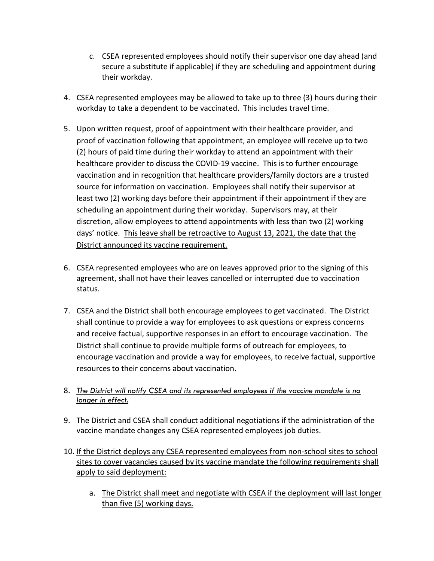- c. CSEA represented employees should notify their supervisor one day ahead (and<br>secure a substitute if applicable) if they are scheduling and appointment during<br>their workday.<br>A represented employees may be allowed to take secure a substitute if applicable) if they are scheduling and appointment during their workday. 1. CSEA represented employees should notify their supervisor one day ahead (and<br>
1. CSEA represented employees may be allowed to take up to three (3) hours during their<br>
1. CSEA represented employees may be allowed to take
- workday to take a dependent to be vaccinated. This includes travel time.
- 5. CSEA represented employees should notify their supervisor one day ahead (and secure a substitute if applicable) if they are scheduling and appointment during their workday.<br>
4. CSEA represented employees may be allowed proof of vaccination following that appointment, an employee will receive up to two c. CSEA represented employees should notify their supervisor one day ahead (and<br>secure a substitute if applicable) if they are scheduling and appointment during<br>their workday.<br>CSEA represented employees may be allowed to t c. CSEA represented employees should notify their supervisor one day ahead (and<br>secure a substitute if applicable) if they are scheduling and appointment during<br>their workday.<br>CSEA represented employees may be allowed to t c. CSEA represented employees should notify their supervisor one day ahead (and<br>secure a substitute if applicable) if they are scheduling and appointment during<br>their workday.<br>CSEA represented employees may be allowed to t source for information on vaccination. Employees shall notify their supervisor at least two (2) working days before their appointment if their appointment if they are scheduling an appointment during their workday. Supervisors may, at their discretion, allow employees to attend appointments with less than two (2) working days' notice. This leave shall be retroactive to August 13, 2021, the date that the District announced its vaccine requirement. 4. CSEA represented employees may be allowed to take up to three (3) hours during their<br>workday to take a dependent to be vaccinated. This includes travel time.<br>
5. Upon written request, proof of appointment with their he proof of vaccination following that appointment, an employee will receive up to two<br>
(2) hours of paid time during their workday to attend an appointment with their<br>
healthcare provider to discuss the COVID-19 vaccine. Thi
- agreement, shall not have their leaves cancelled or interrupted due to vaccination status.
- shall continue to provide a way for employees to ask questions or express concerns and receive factual, supportive responses in an effort to encourage vaccination. The District shall continue to provide multiple forms of outreach for employees, to encourage vaccination and provide a way for employees, to receive factual, supportive resources to their concerns about vaccination. **9.** Strict announced its vaccine requirement.<br>
9. CSEA represented employees who are on leaves approved prior to the signing of this<br>
agreement, shall not have their leaves cancelled or interrupted due to vaccination<br>
sta agreement, shall not have their leaves cancelled or interrupted due to vaccination<br>
status.<br>
7. CSEA and the District shall both encourage employees to get vaccinated. The District<br>
shall continue to provide a way for empl Il continue to provide a way for employees to ask questions or express concerns<br>receive factual, supportive responses in an effort to encourage vaccination. The<br>rict shall continue to provide multiple forms of outreach for
- 8. The District will notify CSEA and its represented employees if the vaccine mandate is no longer in effect.
- vaccine mandate changes any CSEA represented employees job duties.
- sites to cover vacancies caused by its vaccine mandate the following requirements shall apply to said deployment:
	- than five (5) working days.